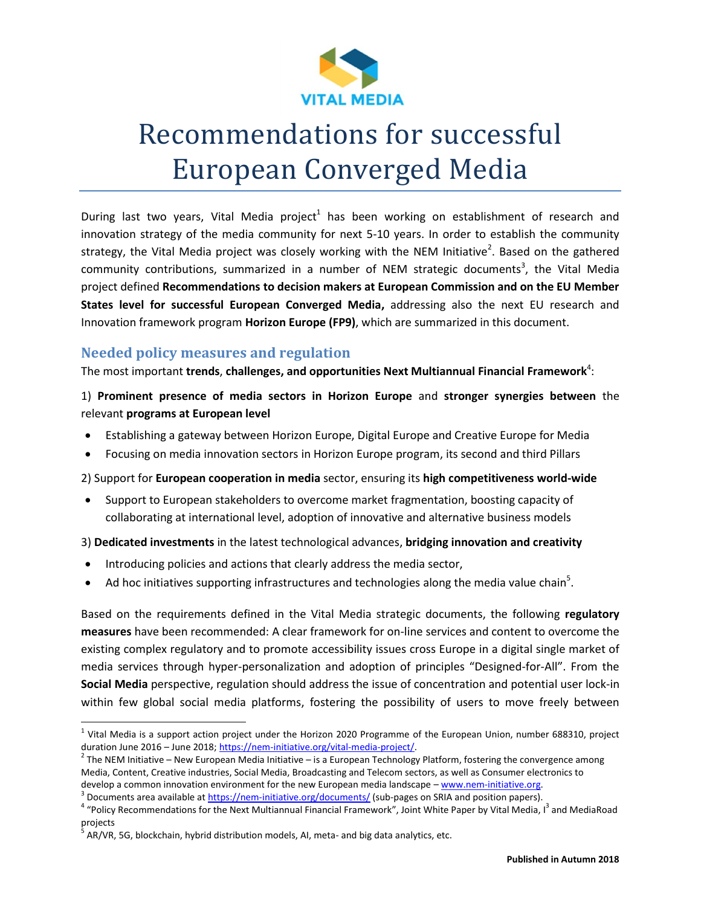

During last two years, Vital Media project<sup>1</sup> has been working on establishment of research and innovation strategy of the media community for next 5-10 years. In order to establish the community strategy, the Vital Media project was closely working with the NEM Initiative<sup>2</sup>. Based on the gathered community contributions, summarized in a number of NEM strategic documents<sup>3</sup>, the Vital Media project defined **Recommendations to decision makers at European Commission and on the EU Member States level for successful European Converged Media,** addressing also the next EU research and Innovation framework program **Horizon Europe (FP9)**, which are summarized in this document.

# **Needed policy measures and regulation**

The most important **trends, challenges, and opportunities Next Multiannual Financial Framework<sup>4</sup>:** 

## 1) **Prominent presence of media sectors in Horizon Europe** and **stronger synergies between** the relevant **programs at European level**

- Establishing a gateway between Horizon Europe, Digital Europe and Creative Europe for Media
- Focusing on media innovation sectors in Horizon Europe program, its second and third Pillars

2) Support for **European cooperation in media** sector, ensuring its **high competitiveness world-wide**

 Support to European stakeholders to overcome market fragmentation, boosting capacity of collaborating at international level, adoption of innovative and alternative business models

3) **Dedicated investments** in the latest technological advances, **bridging innovation and creativity**

- Introducing policies and actions that clearly address the media sector,
- $\bullet$  Ad hoc initiatives supporting infrastructures and technologies along the media value chain<sup>5</sup>.

Based on the requirements defined in the Vital Media strategic documents, the following **regulatory measures** have been recommended: A clear framework for on-line services and content to overcome the existing complex regulatory and to promote accessibility issues cross Europe in a digital single market of media services through hyper-personalization and adoption of principles "Designed-for-All". From the **Social Media** perspective, regulation should address the issue of concentration and potential user lock-in within few global social media platforms, fostering the possibility of users to move freely between

 $\overline{a}$ 

 $^1$  Vital Media is a support action project under the Horizon 2020 Programme of the European Union, number 688310, project duration June 2016 – June 2018[; https://nem-initiative.org/vital-media-project/.](https://nem-initiative.org/vital-media-project/)

 $^2$  The NEM Initiative – New European Media Initiative – is a European Technology Platform, fostering the convergence among Media, Content, Creative industries, Social Media, Broadcasting and Telecom sectors, as well as Consumer electronics to develop a common innovation environment for the new European media landscape – [www.nem-initiative.org.](http://www.nem-initiative.org/) 

<sup>3</sup> Documents area available at<https://nem-initiative.org/documents/> (sub-pages on SRIA and position papers).

<sup>&</sup>lt;sup>4</sup> "Policy Recommendations for the Next Multiannual Financial Framework", Joint White Paper by Vital Media, I<sup>3</sup> and MediaRoad projects

<sup>5</sup> AR/VR, 5G, blockchain, hybrid distribution models, AI, meta- and big data analytics, etc.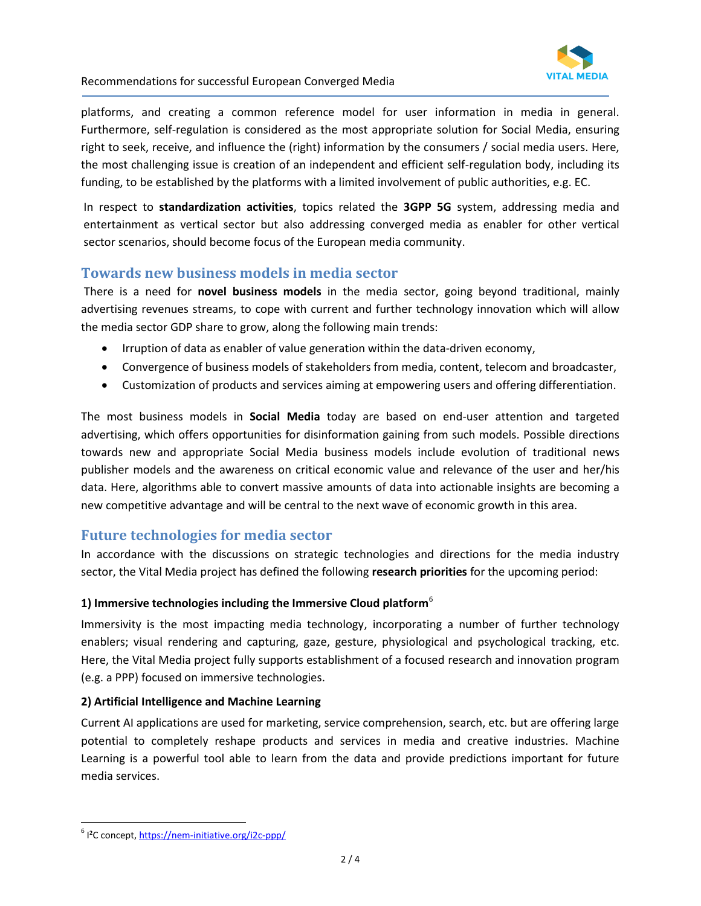

platforms, and creating a common reference model for user information in media in general. Furthermore, self-regulation is considered as the most appropriate solution for Social Media, ensuring right to seek, receive, and influence the (right) information by the consumers / social media users. Here, the most challenging issue is creation of an independent and efficient self-regulation body, including its funding, to be established by the platforms with a limited involvement of public authorities, e.g. EC.

In respect to **standardization activities**, topics related the **3GPP 5G** system, addressing media and entertainment as vertical sector but also addressing converged media as enabler for other vertical sector scenarios, should become focus of the European media community.

# **Towards new business models in media sector**

There is a need for **novel business models** in the media sector, going beyond traditional, mainly advertising revenues streams, to cope with current and further technology innovation which will allow the media sector GDP share to grow, along the following main trends:

- Irruption of data as enabler of value generation within the data-driven economy,
- Convergence of business models of stakeholders from media, content, telecom and broadcaster,
- Customization of products and services aiming at empowering users and offering differentiation.

The most business models in **Social Media** today are based on end-user attention and targeted advertising, which offers opportunities for disinformation gaining from such models. Possible directions towards new and appropriate Social Media business models include evolution of traditional news publisher models and the awareness on critical economic value and relevance of the user and her/his data. Here, algorithms able to convert massive amounts of data into actionable insights are becoming a new competitive advantage and will be central to the next wave of economic growth in this area.

## **Future technologies for media sector**

In accordance with the discussions on strategic technologies and directions for the media industry sector, the Vital Media project has defined the following **research priorities** for the upcoming period:

#### **1) Immersive technologies including the Immersive Cloud platform**<sup>6</sup>

Immersivity is the most impacting media technology, incorporating a number of further technology enablers; visual rendering and capturing, gaze, gesture, physiological and psychological tracking, etc. Here, the Vital Media project fully supports establishment of a focused research and innovation program (e.g. a PPP) focused on immersive technologies.

#### **2) Artificial Intelligence and Machine Learning**

Current AI applications are used for marketing, service comprehension, search, etc. but are offering large potential to completely reshape products and services in media and creative industries. Machine Learning is a powerful tool able to learn from the data and provide predictions important for future media services.

 $\overline{a}$ 

<sup>&</sup>lt;sup>6</sup> I<sup>2</sup>C concept[, https://nem-initiative.org/i2c-ppp/](https://nem-initiative.org/i2c-ppp/)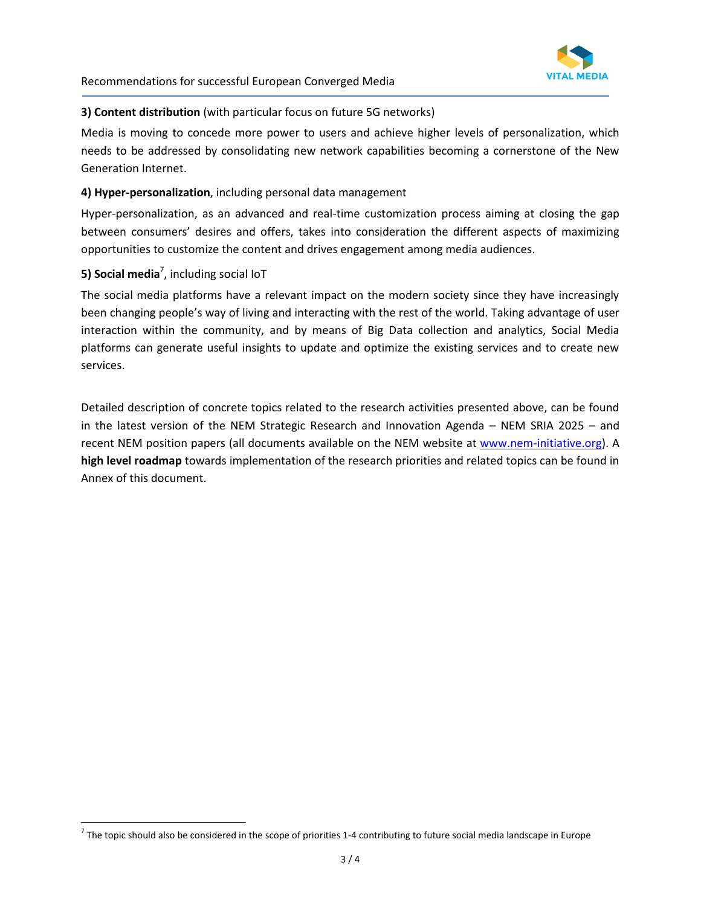

#### **3) Content distribution** (with particular focus on future 5G networks)

Media is moving to concede more power to users and achieve higher levels of personalization, which needs to be addressed by consolidating new network capabilities becoming a cornerstone of the New Generation Internet.

#### **4) Hyper-personalization**, including personal data management

Hyper-personalization, as an advanced and real-time customization process aiming at closing the gap between consumers' desires and offers, takes into consideration the different aspects of maximizing opportunities to customize the content and drives engagement among media audiences.

## **5) Social media**<sup>7</sup> , including social IoT

 $\overline{a}$ 

The social media platforms have a relevant impact on the modern society since they have increasingly been changing people's way of living and interacting with the rest of the world. Taking advantage of user interaction within the community, and by means of Big Data collection and analytics, Social Media platforms can generate useful insights to update and optimize the existing services and to create new services.

Detailed description of concrete topics related to the research activities presented above, can be found in the latest version of the NEM Strategic Research and Innovation Agenda – NEM SRIA 2025 – and recent NEM position papers (all documents available on the NEM website at [www.nem-initiative.org\)](http://www.nem-initiative.org/). A **high level roadmap** towards implementation of the research priorities and related topics can be found in Annex of this document.

 $^7$  The topic should also be considered in the scope of priorities 1-4 contributing to future social media landscape in Europe